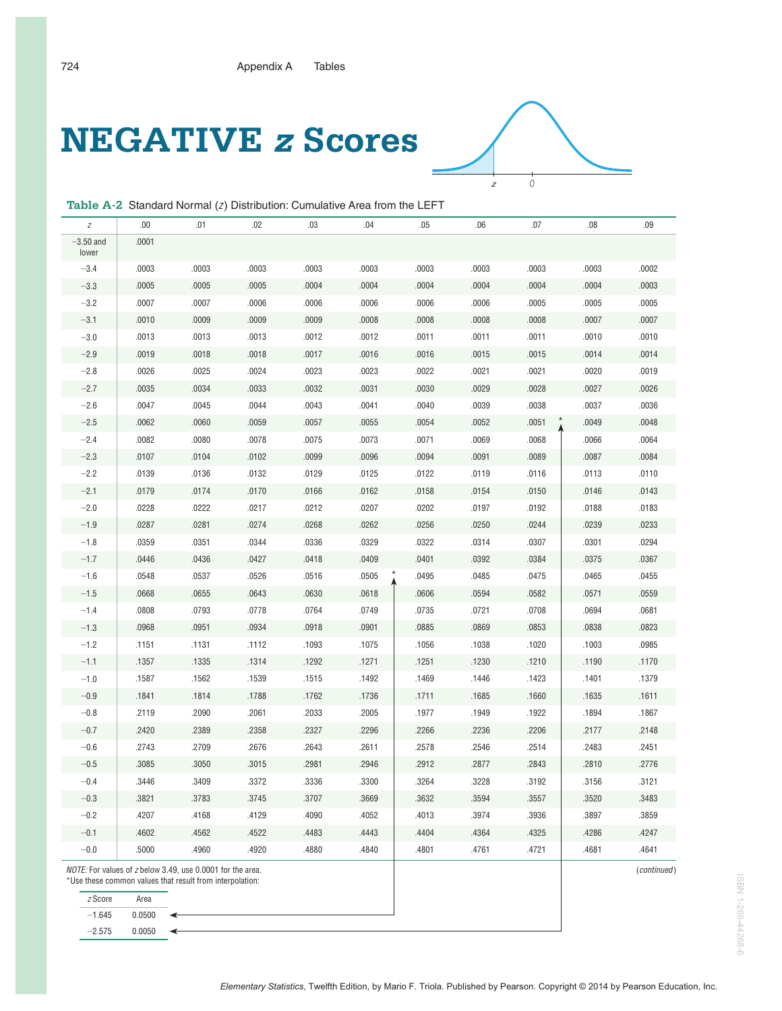## **NEGATIVE z Scores**



**Table A-2** Standard Normal (z) Distribution: Cumulative Area from the LEFT

| $-3.50$ and<br>.0001<br>lower<br>$-3.4$<br>.0003<br>.0003<br>.0003<br>.0003<br>.0003<br>.0002<br>.0003<br>.0003<br>.0003<br>.0003<br>$-3.3$<br>.0005<br>.0004<br>.0004<br>.0004<br>.0004<br>.0003<br>.0005<br>.0005<br>.0004<br>.0004<br>$-3.2$<br>.0005<br>.0007<br>.0006<br>.0006<br>.0006<br>.0006<br>.0006<br>.0005<br>.0005<br>.0007<br>.0007<br>$-3.1$<br>.0009<br>.0009<br>.0009<br>.0008<br>.0008<br>.0007<br>.0010<br>.0008<br>.0008 | $.07$<br>.09<br>.08              | .06 | .05   | .04   | .03   | .02   | .01   | .00.  | Ζ      |
|-----------------------------------------------------------------------------------------------------------------------------------------------------------------------------------------------------------------------------------------------------------------------------------------------------------------------------------------------------------------------------------------------------------------------------------------------|----------------------------------|-----|-------|-------|-------|-------|-------|-------|--------|
|                                                                                                                                                                                                                                                                                                                                                                                                                                               |                                  |     |       |       |       |       |       |       |        |
|                                                                                                                                                                                                                                                                                                                                                                                                                                               |                                  |     |       |       |       |       |       |       |        |
|                                                                                                                                                                                                                                                                                                                                                                                                                                               |                                  |     |       |       |       |       |       |       |        |
|                                                                                                                                                                                                                                                                                                                                                                                                                                               |                                  |     |       |       |       |       |       |       |        |
|                                                                                                                                                                                                                                                                                                                                                                                                                                               |                                  |     |       |       |       |       |       |       |        |
|                                                                                                                                                                                                                                                                                                                                                                                                                                               | .0010<br>.0011<br>.0011<br>.0010 |     | .0011 | .0012 | .0012 | .0013 | .0013 | .0013 | $-3.0$ |
| $-2.9$<br>.0018<br>.0017<br>.0016<br>.0014<br>.0019<br>.0018<br>.0016<br>.0015<br>.0015<br>.0014                                                                                                                                                                                                                                                                                                                                              |                                  |     |       |       |       |       |       |       |        |
| .0019<br>$-2.8$<br>.0025<br>.0024<br>.0023<br>.0023<br>.0022<br>.0021<br>.0021<br>.0020<br>.0026                                                                                                                                                                                                                                                                                                                                              |                                  |     |       |       |       |       |       |       |        |
| $-2.7$<br>.0026<br>.0034<br>.0033<br>.0032<br>.0031<br>.0030<br>.0029<br>.0028<br>.0027<br>.0035                                                                                                                                                                                                                                                                                                                                              |                                  |     |       |       |       |       |       |       |        |
| $-2.6$<br>.0041<br>.0036<br>.0047<br>.0045<br>.0044<br>.0043<br>.0040<br>.0039<br>.0038<br>.0037                                                                                                                                                                                                                                                                                                                                              |                                  |     |       |       |       |       |       |       |        |
| .0060<br>.0055<br>.0052<br>.0051<br>.0048<br>$-2.5$<br>.0062<br>.0059<br>.0057<br>.0054<br>.0049                                                                                                                                                                                                                                                                                                                                              |                                  |     |       |       |       |       |       |       |        |
| $-2.4$<br>.0082<br>.0080<br>.0078<br>.0075<br>.0073<br>.0071<br>.0069<br>.0068<br>.0066<br>.0064                                                                                                                                                                                                                                                                                                                                              |                                  |     |       |       |       |       |       |       |        |
| $-2.3$<br>.0104<br>.0102<br>.0099<br>.0096<br>.0091<br>.0089<br>.0087<br>.0084<br>.0107<br>.0094                                                                                                                                                                                                                                                                                                                                              |                                  |     |       |       |       |       |       |       |        |
| $-2.2$<br>.0110<br>.0139<br>.0136<br>.0132<br>.0129<br>.0125<br>.0122<br>.0119<br>.0116<br>.0113                                                                                                                                                                                                                                                                                                                                              |                                  |     |       |       |       |       |       |       |        |
| $-2.1$<br>.0174<br>.0162<br>.0143<br>.0179<br>.0170<br>.0166<br>.0158<br>.0154<br>.0150<br>.0146                                                                                                                                                                                                                                                                                                                                              |                                  |     |       |       |       |       |       |       |        |
| $-2.0$<br>.0222<br>.0212<br>.0207<br>.0183<br>.0228<br>.0217<br>.0202<br>.0197<br>.0192<br>.0188                                                                                                                                                                                                                                                                                                                                              |                                  |     |       |       |       |       |       |       |        |
| .0233<br>$-1.9$<br>.0281<br>.0268<br>.0262<br>.0250<br>.0287<br>.0274<br>.0256<br>.0244<br>.0239                                                                                                                                                                                                                                                                                                                                              |                                  |     |       |       |       |       |       |       |        |
| .0329<br>.0294<br>$-1.8$<br>.0359<br>.0351<br>.0344<br>.0336<br>.0322<br>.0314<br>.0307<br>.0301                                                                                                                                                                                                                                                                                                                                              |                                  |     |       |       |       |       |       |       |        |
| .0367<br>$-1.7$<br>.0436<br>.0427<br>.0418<br>.0409<br>.0392<br>.0384<br>.0446<br>.0401<br>.0375                                                                                                                                                                                                                                                                                                                                              |                                  |     |       |       |       |       |       |       |        |
| .0505<br>$-1.6$<br>.0548<br>.0537<br>.0526<br>.0516<br>.0495<br>.0485<br>.0475<br>.0465<br>.0455                                                                                                                                                                                                                                                                                                                                              |                                  |     |       |       |       |       |       |       |        |
| .0655<br>.0630<br>.0618<br>.0594<br>.0582<br>.0559<br>$-1.5$<br>.0668<br>.0643<br>.0606<br>.0571                                                                                                                                                                                                                                                                                                                                              |                                  |     |       |       |       |       |       |       |        |
| $-1.4$<br>.0793<br>.0681<br>.0808<br>.0778<br>.0764<br>.0749<br>.0735<br>.0721<br>.0708<br>.0694                                                                                                                                                                                                                                                                                                                                              |                                  |     |       |       |       |       |       |       |        |
| .0823<br>$-1.3$<br>.0968<br>.0951<br>.0934<br>.0918<br>.0901<br>.0869<br>.0885<br>.0853<br>.0838                                                                                                                                                                                                                                                                                                                                              |                                  |     |       |       |       |       |       |       |        |
| $-1.2$<br>.1131<br>.1112<br>.1093<br>.1075<br>.1038<br>.0985<br>.1151<br>.1056<br>.1020<br>.1003                                                                                                                                                                                                                                                                                                                                              |                                  |     |       |       |       |       |       |       |        |
| $-1.1$<br>.1271<br>.1170<br>.1357<br>.1335<br>.1314<br>.1292<br>.1251<br>.1230<br>.1210<br>.1190                                                                                                                                                                                                                                                                                                                                              |                                  |     |       |       |       |       |       |       |        |
| $-1.0$<br>.1562<br>.1539<br>.1515<br>.1492<br>.1446<br>.1423<br>.1379<br>.1587<br>.1469<br>.1401                                                                                                                                                                                                                                                                                                                                              |                                  |     |       |       |       |       |       |       |        |
| .1611<br>$-0.9$<br>.1814<br>.1762<br>.1736<br>.1685<br>.1841<br>.1788<br>.1711<br>.1660<br>.1635                                                                                                                                                                                                                                                                                                                                              |                                  |     |       |       |       |       |       |       |        |
| .1867<br>$-0.8$<br>.2090<br>.2061<br>.2033<br>.2005<br>.1949<br>.2119<br>.1977<br>.1922<br>.1894                                                                                                                                                                                                                                                                                                                                              |                                  |     |       |       |       |       |       |       |        |
| .2148<br>$-0.7$<br>.2389<br>.2327<br>.2296<br>.2236<br>.2420<br>.2358<br>.2266<br>.2206<br>.2177                                                                                                                                                                                                                                                                                                                                              |                                  |     |       |       |       |       |       |       |        |
| .2451<br>$-0.6$<br>.2709<br>.2643<br>.2611<br>.2546<br>.2514<br>.2743<br>.2676<br>.2578<br>.2483                                                                                                                                                                                                                                                                                                                                              |                                  |     |       |       |       |       |       |       |        |
| .2776<br>.3050<br>.2981<br>.2946<br>.2877<br>.2810<br>$-0.5$<br>.3085<br>.3015<br>.2912<br>.2843                                                                                                                                                                                                                                                                                                                                              |                                  |     |       |       |       |       |       |       |        |
| $-0.4$<br>.3409<br>.3121<br>.3372<br>.3336<br>.3300<br>.3264<br>.3228<br>.3446<br>.3192<br>.3156                                                                                                                                                                                                                                                                                                                                              |                                  |     |       |       |       |       |       |       |        |
| .3783<br>.3707<br>.3669<br>$-0.3$<br>.3821<br>.3745<br>.3632<br>.3594<br>.3557<br>.3520<br>.3483                                                                                                                                                                                                                                                                                                                                              |                                  |     |       |       |       |       |       |       |        |
| .4207<br>.4168<br>.4129<br>.4090<br>.4052<br>.3974<br>.3936<br>.3897<br>.3859<br>$-0.2$<br>.4013                                                                                                                                                                                                                                                                                                                                              |                                  |     |       |       |       |       |       |       |        |
| $-0.1$<br>.4602<br>.4562<br>.4522<br>.4483<br>.4443<br>.4404<br>.4364<br>.4325<br>.4286<br>.4247                                                                                                                                                                                                                                                                                                                                              |                                  |     |       |       |       |       |       |       |        |
| $-0.0$<br>.5000<br>.4960<br>.4920<br>.4880<br>.4840<br>.4801<br>.4761<br>.4721<br>.4681<br>.4641                                                                                                                                                                                                                                                                                                                                              |                                  |     |       |       |       |       |       |       |        |
| NOTE: For values of z below 3.49, use 0.0001 for the area.<br>*Use these common values that result from interpolation:                                                                                                                                                                                                                                                                                                                        | (continued)                      |     |       |       |       |       |       |       |        |
| z Score<br>Area                                                                                                                                                                                                                                                                                                                                                                                                                               |                                  |     |       |       |       |       |       |       |        |

 $-2.575$  0.0050

 $-1.645$  0.0500